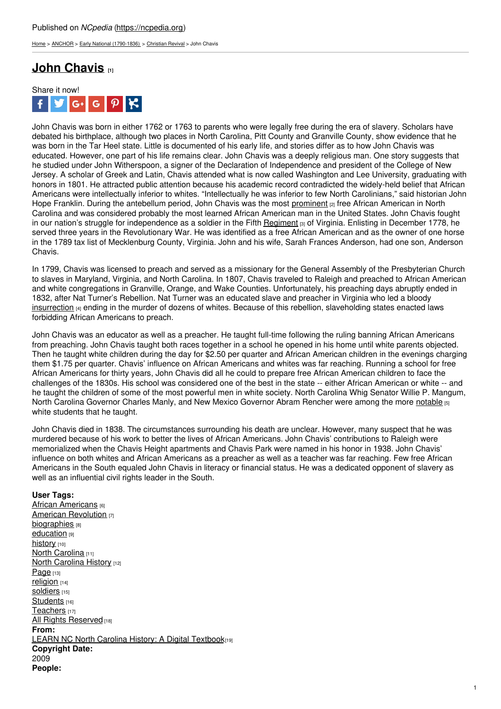[Home](https://ncpedia.org/) > [ANCHOR](https://ncpedia.org/anchor/anchor) > Early National [\(1790-1836\)](https://ncpedia.org/anchor/early-national-1790-1836) > [Christian](https://ncpedia.org/anchor/christian-revival) Revival > John Chavis

# **John [Chavis](https://ncpedia.org/anchor/john-chavis) [1]**



John Chavis was born in either 1762 or 1763 to parents who were legally free during the era of slavery. Scholars have debated his birthplace, although two places in North Carolina, Pitt County and Granville County, show evidence that he was born in the Tar Heel state. Little is documented of his early life, and stories differ as to how John Chavis was educated. However, one part of his life remains clear. John Chavis was a deeply religious man. One story suggests that he studied under John Witherspoon, a signer of the Declaration of Independence and president of the College of New Jersey. A scholar of Greek and Latin, Chavis attended what is now called Washington and Lee University, graduating with honors in 1801. He attracted public attention because his academic record contradicted the widely-held belief that African Americans were intellectually inferior to whites. "Intellectually he was inferior to few North Carolinians," said historian John Hope Franklin. During the antebellum period, John Chavis was the most [prominent](https://ncpedia.org/glossary/prominent) <sub>[2]</sub> free African American in North Carolina and was considered probably the most learned African American man in the United States. John Chavis fought in our nation's struggle for independence as a [soldier](http://www.social9.com) in the Fifth [Regiment](https://ncpedia.org/glossary/regiment)  $\beta$  of Virginia. Enlisting in December 1778, he served three years in the Revolutionary War. He was identified as a free African American and as the owner of one horse in the 1789 tax list of Mecklenburg County, Virginia. John and his wife, Sarah Frances Anderson, had one son, Anderson Chavis.

In 1799, Chavis was licensed to preach and served as a missionary for the General Assembly of the Presbyterian Church to slaves in Maryland, Virginia, and North Carolina. In 1807, Chavis traveled to Raleigh and preached to African American and white congregations in Granville, Orange, and Wake Counties. Unfortunately, his preaching days abruptly ended in 1832, after Nat Turner's Rebellion. Nat Turner was an educated slave and preacher in Virginia who led a bloody [insurrection](https://ncpedia.org/glossary/insurrection) [4] ending in the murder of dozens of whites. Because of this rebellion, slaveholding states enacted laws forbidding African Americans to preach.

John Chavis was an educator as well as a preacher. He taught full-time following the ruling banning African Americans from preaching. John Chavis taught both races together in a school he opened in his home until white parents objected. Then he taught white children during the day for \$2.50 per quarter and African American children in the evenings charging them \$1.75 per quarter. Chavis' influence on African Americans and whites was far reaching. Running a school for free African Americans for thirty years, John Chavis did all he could to prepare free African American children to face the challenges of the 1830s. His school was considered one of the best in the state -- either African American or white -- and he taught the children of some of the most powerful men in white society. North Carolina Whig Senator Willie P. Mangum, North Carolina Governor Charles Manly, and New Mexico Governor Abram Rencher were among the more [notable](https://ncpedia.org/glossary/notable) [5] white students that he taught.

John Chavis died in 1838. The circumstances surrounding his death are unclear. However, many suspect that he was murdered because of his work to better the lives of African Americans. John Chavis' contributions to Raleigh were memorialized when the Chavis Height apartments and Chavis Park were named in his honor in 1938. John Chavis' influence on both whites and African Americans as a preacher as well as a teacher was far reaching. Few free African Americans in the South equaled John Chavis in literacy or financial status. He was a dedicated opponent of slavery as well as an influential civil rights leader in the South.

## **User Tags:**

African [Americans](https://ncpedia.org/category/user-tags/african-american) [6] American [Revolution](https://ncpedia.org/category/user-tags/american) [7] [biographies](https://ncpedia.org/category/user-tags/biographies) [8] [education](https://ncpedia.org/category/user-tags/education) [9] [history](https://ncpedia.org/category/user-tags/history) [10] North [Carolina](https://ncpedia.org/category/user-tags/north-carolina-5) [11] North [Carolina](https://ncpedia.org/category/user-tags/north-carolina-6) History [12] [Page](https://ncpedia.org/category/user-tags/page) [13] [religion](https://ncpedia.org/category/user-tags/religion) [14] Soldiers [15] [Students](https://ncpedia.org/category/user-tags/students) [16] [Teachers](https://ncpedia.org/category/user-tags/teachers) [17] All Rights [Reserved](https://ncpedia.org/category/user-tags/all-rights) [18] **From:** LEARN NC North Carolina History: A Digital [Textbook](https://ncpedia.org/category/entry-source/learn-nc)[19] **Copyright Date:** 2009 **People:**